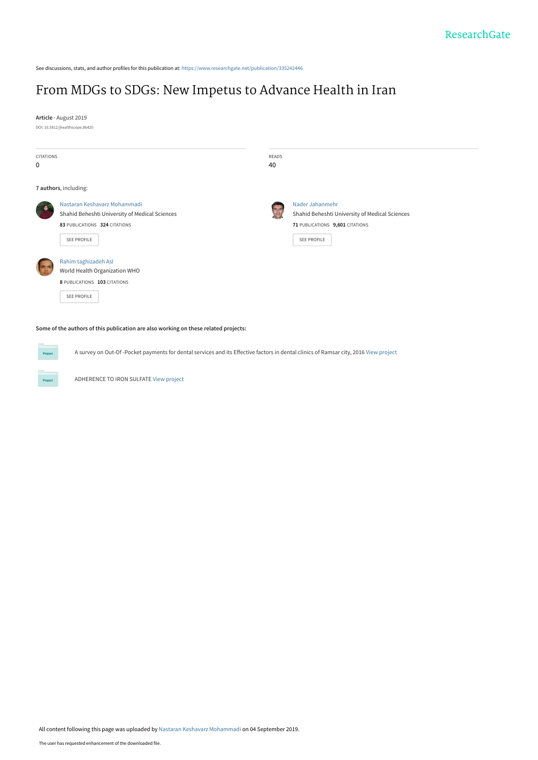See discussions, stats, and author profiles for this publication at: [https://www.researchgate.net/publication/335242446](https://www.researchgate.net/publication/335242446_From_MDGs_to_SDGs_New_Impetus_to_Advance_Health_in_Iran?enrichId=rgreq-71237751343f8514b8ecec43ee488cae-XXX&enrichSource=Y292ZXJQYWdlOzMzNTI0MjQ0NjtBUzo3OTkzNzA0MzgwMDQ3NDNAMTU2NzU5NjE3Mjk2OA%3D%3D&el=1_x_2&_esc=publicationCoverPdf)

# [From MDGs to SDGs: New Impetus to Advance Health in Iran](https://www.researchgate.net/publication/335242446_From_MDGs_to_SDGs_New_Impetus_to_Advance_Health_in_Iran?enrichId=rgreq-71237751343f8514b8ecec43ee488cae-XXX&enrichSource=Y292ZXJQYWdlOzMzNTI0MjQ0NjtBUzo3OTkzNzA0MzgwMDQ3NDNAMTU2NzU5NjE3Mjk2OA%3D%3D&el=1_x_3&_esc=publicationCoverPdf)

**Article** · August 2019 DOI: 10.5812/jhealthscope.86420

**CITATIONS** 0 READS 40 **7 authors**, including: [Nastaran Keshavarz Mohammadi](https://www.researchgate.net/profile/Nastaran_Keshavarz_Mohammadi?enrichId=rgreq-71237751343f8514b8ecec43ee488cae-XXX&enrichSource=Y292ZXJQYWdlOzMzNTI0MjQ0NjtBUzo3OTkzNzA0MzgwMDQ3NDNAMTU2NzU5NjE3Mjk2OA%3D%3D&el=1_x_5&_esc=publicationCoverPdf) [Shahid Beheshti University of Medical Sciences](https://www.researchgate.net/institution/Shahid_Beheshti_University_of_Medical_Sciences?enrichId=rgreq-71237751343f8514b8ecec43ee488cae-XXX&enrichSource=Y292ZXJQYWdlOzMzNTI0MjQ0NjtBUzo3OTkzNzA0MzgwMDQ3NDNAMTU2NzU5NjE3Mjk2OA%3D%3D&el=1_x_6&_esc=publicationCoverPdf) **83** PUBLICATIONS **324** CITATIONS [SEE PROFILE](https://www.researchgate.net/profile/Nastaran_Keshavarz_Mohammadi?enrichId=rgreq-71237751343f8514b8ecec43ee488cae-XXX&enrichSource=Y292ZXJQYWdlOzMzNTI0MjQ0NjtBUzo3OTkzNzA0MzgwMDQ3NDNAMTU2NzU5NjE3Mjk2OA%3D%3D&el=1_x_7&_esc=publicationCoverPdf) [Nader Jahanmehr](https://www.researchgate.net/profile/Nader_Jahanmehr?enrichId=rgreq-71237751343f8514b8ecec43ee488cae-XXX&enrichSource=Y292ZXJQYWdlOzMzNTI0MjQ0NjtBUzo3OTkzNzA0MzgwMDQ3NDNAMTU2NzU5NjE3Mjk2OA%3D%3D&el=1_x_5&_esc=publicationCoverPdf) [Shahid Beheshti University of Medical Sciences](https://www.researchgate.net/institution/Shahid_Beheshti_University_of_Medical_Sciences?enrichId=rgreq-71237751343f8514b8ecec43ee488cae-XXX&enrichSource=Y292ZXJQYWdlOzMzNTI0MjQ0NjtBUzo3OTkzNzA0MzgwMDQ3NDNAMTU2NzU5NjE3Mjk2OA%3D%3D&el=1_x_6&_esc=publicationCoverPdf) **71** PUBLICATIONS **9,601** CITATIONS [SEE PROFILE](https://www.researchgate.net/profile/Nader_Jahanmehr?enrichId=rgreq-71237751343f8514b8ecec43ee488cae-XXX&enrichSource=Y292ZXJQYWdlOzMzNTI0MjQ0NjtBUzo3OTkzNzA0MzgwMDQ3NDNAMTU2NzU5NjE3Mjk2OA%3D%3D&el=1_x_7&_esc=publicationCoverPdf) [Rahim taghizadeh Asl](https://www.researchgate.net/profile/Rahim_Taghizadeh_Asl?enrichId=rgreq-71237751343f8514b8ecec43ee488cae-XXX&enrichSource=Y292ZXJQYWdlOzMzNTI0MjQ0NjtBUzo3OTkzNzA0MzgwMDQ3NDNAMTU2NzU5NjE3Mjk2OA%3D%3D&el=1_x_5&_esc=publicationCoverPdf) [World Health Organization WHO](https://www.researchgate.net/institution/World_Health_Organization_WHO?enrichId=rgreq-71237751343f8514b8ecec43ee488cae-XXX&enrichSource=Y292ZXJQYWdlOzMzNTI0MjQ0NjtBUzo3OTkzNzA0MzgwMDQ3NDNAMTU2NzU5NjE3Mjk2OA%3D%3D&el=1_x_6&_esc=publicationCoverPdf) **8** PUBLICATIONS **103** CITATIONS [SEE PROFILE](https://www.researchgate.net/profile/Rahim_Taghizadeh_Asl?enrichId=rgreq-71237751343f8514b8ecec43ee488cae-XXX&enrichSource=Y292ZXJQYWdlOzMzNTI0MjQ0NjtBUzo3OTkzNzA0MzgwMDQ3NDNAMTU2NzU5NjE3Mjk2OA%3D%3D&el=1_x_7&_esc=publicationCoverPdf)

#### **Some of the authors of this publication are also working on these related projects:**

A survey on Out-Of -Pocket payments for dental services and its Effective factors in dental clinics of Ramsar city, 2016 [View project](https://www.researchgate.net/project/A-survey-on-Out-Of-Pocket-payments-for-dental-services-and-its-Effective-factors-in-dental-clinics-of-Ramsar-city-2016?enrichId=rgreq-71237751343f8514b8ecec43ee488cae-XXX&enrichSource=Y292ZXJQYWdlOzMzNTI0MjQ0NjtBUzo3OTkzNzA0MzgwMDQ3NDNAMTU2NzU5NjE3Mjk2OA%3D%3D&el=1_x_9&_esc=publicationCoverPdf)

ADHERENCE TO IRON SULFATE [View project](https://www.researchgate.net/project/ADHERENCE-TO-IRON-SULFATE?enrichId=rgreq-71237751343f8514b8ecec43ee488cae-XXX&enrichSource=Y292ZXJQYWdlOzMzNTI0MjQ0NjtBUzo3OTkzNzA0MzgwMDQ3NDNAMTU2NzU5NjE3Mjk2OA%3D%3D&el=1_x_9&_esc=publicationCoverPdf)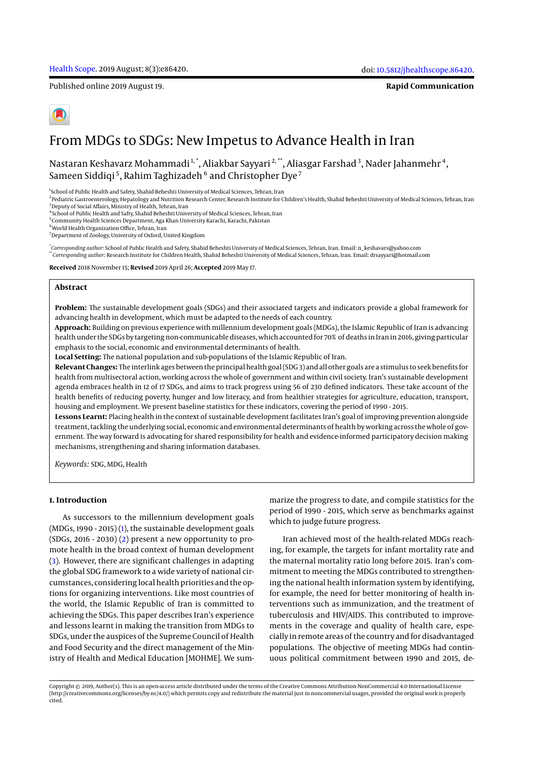Published online 2019 August 19.

**Rapid Communication**



# From MDGs to SDGs: New Impetus to Advance Health in Iran

Nastaran Keshavarz Mohammadi  $^{\rm 1, *},$  Aliakbar Sayyari  $^{\rm 2, **},$  Aliasgar Farshad  $^{\rm 3}$ , Nader Jahanmehr  $^{\rm 4},$ Sameen Siddiqi  $^5$ , Rahim Taghizadeh  $^6$  and Christopher Dye  $^7$ 

<sup>1</sup>School of Public Health and Safety, Shahid Beheshti University of Medical Sciences, Tehran, Iran

2 Pediatric Gastroenterology, Hepatology and Nutrition Research Center, Research Institute for Children's Health, Shahid Beheshti University of Medical Sciences, Tehran, Iran 3 Deputy of Social Affairs, Ministry of Health, Tehran, Iran

4 School of Public Health and Safty, Shahid Beheshti University of Medical Sciences, Tehran, Iran

<sup>5</sup> Community Health Sciences Department, Aga Khan University Karachi, Karachi, Pakistan

6 World Health Organization Office, Tehran, Iran

<sup>7</sup> Department of Zoology, University of Oxford, United Kingdom

\* *Corresponding author*: School of Public Health and Safety, Shahid Beheshti University of Medical Sciences, Tehran, Iran. Email: n\_keshavars@yahoo.com \*\**Corresponding author*: Research Institute for Children Health, Shahid Beheshti University of Medical Sciences, Tehran, Iran. Email: drsayyari@hotmail.com

**Received** 2018 November 15; **Revised** 2019 April 26; **Accepted** 2019 May 17.

#### **Abstract**

**Problem:** The sustainable development goals (SDGs) and their associated targets and indicators provide a global framework for advancing health in development, which must be adapted to the needs of each country.

**Approach:** Building on previous experience with millennium development goals (MDGs), the Islamic Republic of Iran is advancing health under the SDGs by targeting non-communicable diseases, which accounted for 70% of deaths in Iran in 2016, giving particular emphasis to the social, economic and environmental determinants of health.

**Local Setting:** The national population and sub-populations of the Islamic Republic of Iran.

**Relevant Changes:** The interlink ages between the principal health goal (SDG 3) and all other goals are a stimulus to seek benefits for health from multisectoral action, working across the whole of government and within civil society. Iran's sustainable development agenda embraces health in 12 of 17 SDGs, and aims to track progress using 56 of 230 defined indicators. These take account of the health benefits of reducing poverty, hunger and low literacy, and from healthier strategies for agriculture, education, transport, housing and employment. We present baseline statistics for these indicators, covering the period of 1990 - 2015.

**Lessons Learnt:** Placing health in the context of sustainable development facilitates Iran's goal of improving prevention alongside treatment, tackling the underlying social, economic and environmental determinants of health by working across the whole of government. The way forward is advocating for shared responsibility for health and evidence-informed participatory decision making mechanisms, strengthening and sharing information databases.

*Keywords:* SDG, MDG, Health

# **1. Introduction**

As successors to the millennium development goals (MDGs, 1990 - 2015) (1), the sustainable development goals  $(SDGs, 2016 - 2030)$   $(2)$  present a new opportunity to promote health in the broad context of human development (3). However, there are significant challenges in adapting the global SDG framework to a wide variety of national circumstances, considering local health priorities and the options for organizing interventions. Like most countries of the world, the Islamic Republic of Iran is committed to achieving the SDGs. This paper describes Iran's experience and lessons learnt in making the transition from MDGs to SDGs, under the auspices of the Supreme Council of Health and Food Security and the direct management of the Ministry of Health and Medical Education [MOHME]. We summarize the progress to date, and compile statistics for the period of 1990 - 2015, which serve as benchmarks against which to judge future progress.

Iran achieved most of the health-related MDGs reaching, for example, the targets for infant mortality rate and the maternal mortality ratio long before 2015. Iran's commitment to meeting the MDGs contributed to strengthening the national health information system by identifying, for example, the need for better monitoring of health interventions such as immunization, and the treatment of tuberculosis and HIV/AIDS. This contributed to improvements in the coverage and quality of health care, especially in remote areas of the country and for disadvantaged populations. The objective of meeting MDGs had continuous political commitment between 1990 and 2015, de-

Copyright © 2019, Author(s). This is an open-access article distributed under the terms of the Creative Commons Attribution-NonCommercial 4.0 International License (http://creativecommons.org/licenses/by-nc/4.0/) which permits copy and redistribute the material just in noncommercial usages, provided the original work is properly cited.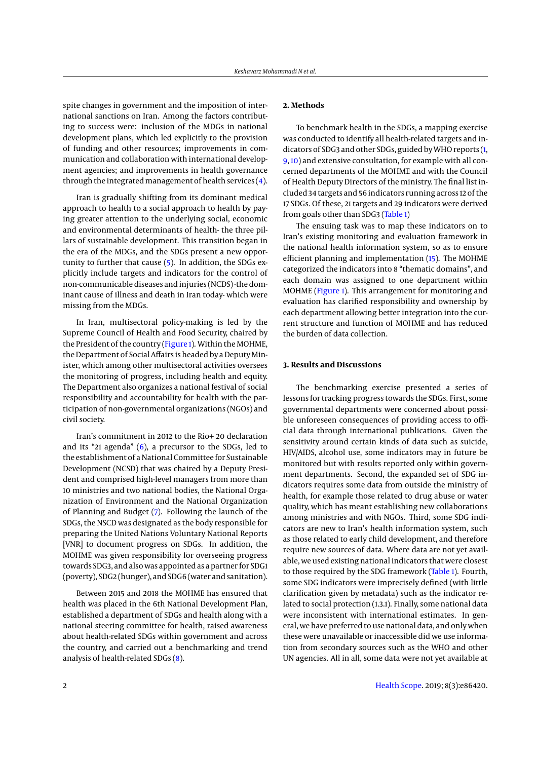spite changes in government and the imposition of international sanctions on Iran. Among the factors contributing to success were: inclusion of the MDGs in national development plans, which led explicitly to the provision of funding and other resources; improvements in communication and collaboration with international development agencies; and improvements in health governance through the integrated management of health services  $(4)$ .

Iran is gradually shifting from its dominant medical approach to health to a social approach to health by paying greater attention to the underlying social, economic and environmental determinants of health- the three pillars of sustainable development. This transition began in the era of the MDGs, and the SDGs present a new opportunity to further that cause (5). In addition, the SDGs explicitly include targets and indicators for the control of non-communicable diseases and injuries (NCDS) -the dominant cause of illness and death in Iran today- which were missing from the MDGs.

In Iran, multisectoral policy-making is led by the Supreme Council of Health and Food Security, chaired by the President of the country (Figure 1). Within the MOHME, the Department of Social Affairs is headed by a Deputy Minister, which among other multisectoral activities oversees the monitoring of progress, including health and equity. The Department also organizes a national festival of social responsibility and accountability for health with the participation of non-governmental organizations (NGOs) and civil society.

Iran's commitment in 2012 to the Rio+ 20 declaration and its "21 agenda" (6), a precursor to the SDGs, led to the establishment of a National Committee for Sustainable Development (NCSD) that was chaired by a Deputy President and comprised high-level managers from more than 10 ministries and two national bodies, the National Organization of Environment and the National Organization of Planning and Budget (7). Following the launch of the SDGs, the NSCD was designated as the body responsible for preparing the United Nations Voluntary National Reports [VNR] to document progress on SDGs. In addition, the MOHME was given responsibility for overseeing progress towards SDG3, and also was appointed as a partner for SDG1 (poverty), SDG2 (hunger), and SDG6 (water and sanitation).

Between 2015 and 2018 the MOHME has ensured that health was placed in the 6th National Development Plan, established a department of SDGs and health along with a national steering committee for health, raised awareness about health-related SDGs within government and across the country, and carried out a benchmarking and trend analysis of health-related SDGs (8).

#### **2. Methods**

To benchmark health in the SDGs, a mapping exercise was conducted to identify all health-related targets and indicators of SDG3 and other SDGs, guided by WHO reports (1, 9, 10) and extensive consultation, for example with all concerned departments of the MOHME and with the Council of Health Deputy Directors of the ministry. The final list included 34 targets and 56 indicators running across 12 of the 17 SDGs. Of these, 21 targets and 29 indicators were derived from goals other than SDG3 (Table 1)

The ensuing task was to map these indicators on to Iran's existing monitoring and evaluation framework in the national health information system, so as to ensure efficient planning and implementation (15). The MOHME categorized the indicators into 8 "thematic domains", and each domain was assigned to one department within MOHME (Figure 1). This arrangement for monitoring and evaluation has clarified responsibility and ownership by each department allowing better integration into the current structure and function of MOHME and has reduced the burden of data collection.

## **3. Results and Discussions**

The benchmarking exercise presented a series of lessons for tracking progress towards the SDGs. First, some governmental departments were concerned about possible unforeseen consequences of providing access to official data through international publications. Given the sensitivity around certain kinds of data such as suicide, HIV/AIDS, alcohol use, some indicators may in future be monitored but with results reported only within government departments. Second, the expanded set of SDG indicators requires some data from outside the ministry of health, for example those related to drug abuse or water quality, which has meant establishing new collaborations among ministries and with NGOs. Third, some SDG indicators are new to Iran's health information system, such as those related to early child development, and therefore require new sources of data. Where data are not yet available, we used existing national indicators that were closest to those required by the SDG framework (Table 1). Fourth, some SDG indicators were imprecisely defined (with little clarification given by metadata) such as the indicator related to social protection (1.3.1). Finally, some national data were inconsistent with international estimates. In general, we have preferred to use national data, and only when these were unavailable or inaccessible did we use information from secondary sources such as the WHO and other UN agencies. All in all, some data were not yet available at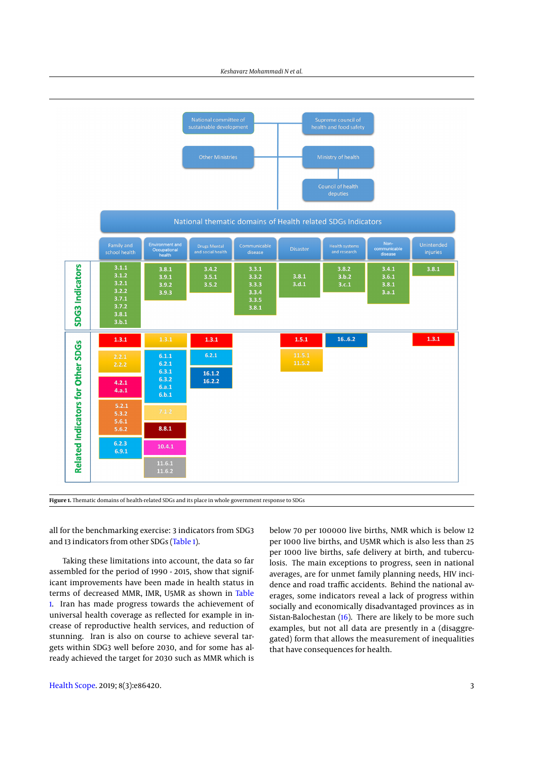

National thematic domains of Health related SDGs Indicators



**Figure 1.** Thematic domains of health-related SDGs and its place in whole government response to SDGs

all for the benchmarking exercise: 3 indicators from SDG3 and 13 indicators from other SDGs (Table 1).

Taking these limitations into account, the data so far assembled for the period of 1990 - 2015, show that significant improvements have been made in health status in terms of decreased MMR, IMR, U5MR as shown in Table 1. Iran has made progress towards the achievement of universal health coverage as reflected for example in increase of reproductive health services, and reduction of stunning. Iran is also on course to achieve several targets within SDG3 well before 2030, and for some has already achieved the target for 2030 such as MMR which is

below 70 per 100000 live births, NMR which is below 12 per 1000 live births, and U5MR which is also less than 25 per 1000 live births, safe delivery at birth, and tuberculosis. The main exceptions to progress, seen in national averages, are for unmet family planning needs, HIV incidence and road traffic accidents. Behind the national averages, some indicators reveal a lack of progress within socially and economically disadvantaged provinces as in Sistan-Balochestan (16). There are likely to be more such examples, but not all data are presently in a (disaggregated) form that allows the measurement of inequalities that have consequences for health.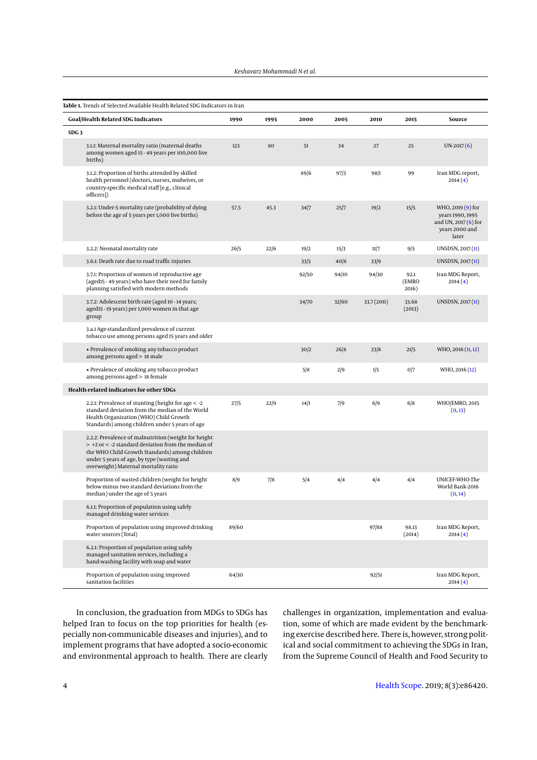| Table 1. Trends of Selected Available Health Related SDG Indicators in Iran |                                                                                                                                                                                                                                                      |       |      |       |       |             |                        |                                                                                           |
|-----------------------------------------------------------------------------|------------------------------------------------------------------------------------------------------------------------------------------------------------------------------------------------------------------------------------------------------|-------|------|-------|-------|-------------|------------------------|-------------------------------------------------------------------------------------------|
|                                                                             | <b>Goal/Health Related SDG Indicators</b>                                                                                                                                                                                                            | 1990  | 1995 | 2000  | 2005  | 2010        | 2015                   | Source                                                                                    |
| SDG <sub>3</sub>                                                            |                                                                                                                                                                                                                                                      |       |      |       |       |             |                        |                                                                                           |
|                                                                             | 3.1.1: Maternal mortality ratio (maternal deaths<br>among women aged 15 - 49 years per 100,000 live<br>births)                                                                                                                                       | 123   | 80   | 51    | 34    | 27          | 25                     | $UN-2017(6)$                                                                              |
|                                                                             | 3.1.2: Proportion of births attended by skilled<br>health personnel (doctors, nurses, midwives, or<br>country-specific medical staff [e.g., clinical<br>officers])                                                                                   |       |      | 89/6  | 97/3  | 98/1        | 99                     | Iran MDG report,<br>2014(4)                                                               |
|                                                                             | 3.2.1: Under-5 mortality rate (probability of dying<br>before the age of 5 years per 1,000 live births)                                                                                                                                              | 57.5  | 45.3 | 34/7  | 25/7  | 19/2        | 15/5                   | WHO, 2019 (9) for<br>years 1990, 1995<br>and UN, $2017(6)$ for<br>years 2000 and<br>later |
|                                                                             | 3.2.2: Neonatal mortality rate                                                                                                                                                                                                                       | 26/5  | 22/6 | 19/2  | 15/3  | 11/7        | 9/5                    | UNSDSN, 2017 (11)                                                                         |
|                                                                             | 3.6.1: Death rate due to road traffic injuries                                                                                                                                                                                                       |       |      | 33/5  | 40/8  | 33/9        |                        | UNSDSN, 2017 (11)                                                                         |
|                                                                             | 3.7.1: Proportion of women of reproductive age<br>(aged15 - 49 years) who have their need for family<br>planning satisfied with modern methods                                                                                                       |       |      | 92/50 | 94/10 | 94/30       | 92.1<br>(EMRO<br>2016) | Iran MDG Report,<br>2014(4)                                                               |
|                                                                             | 3.7.2: Adolescent birth rate (aged 10 - 14 years;<br>aged15 - 19 years) per 1,000 women in that age<br>group                                                                                                                                         |       |      | 34/70 | 32/60 | 33.7 (2011) | 33.68<br>(2013)        | UNSDSN, 2017 (11)                                                                         |
|                                                                             | 3.a.1 Age-standardized prevalence of current<br>tobacco use among persons aged 15 years and older                                                                                                                                                    |       |      |       |       |             |                        |                                                                                           |
|                                                                             | • Prevalence of smoking any tobacco product<br>among persons aged > 18 male                                                                                                                                                                          |       |      | 30/2  | 26/8  | 23/8        | 21/5                   | WHO, 2016 (11, 12)                                                                        |
|                                                                             | • Prevalence of smoking any tobacco product<br>among persons aged > 18 female                                                                                                                                                                        |       |      | 5/8   | 2/9   | 1/5         | 0/7                    | WHO, 2016 (12)                                                                            |
| Health-related indicators for other SDGs                                    |                                                                                                                                                                                                                                                      |       |      |       |       |             |                        |                                                                                           |
|                                                                             | 2.2.1: Prevalence of stunting (height for age < -2<br>standard deviation from the median of the World<br>Health Organization (WHO) Child Growth<br>Standards) among children under 5 years of age                                                    | 27/5  | 22/9 | 14/1  | 7/9   | 6/9         | 6/8                    | WHO/EMRO, 2015<br>(11, 13)                                                                |
|                                                                             | 2.2.2: Prevalence of malnutrition (weight for height<br>$>$ +2 or < -2 standard deviation from the median of<br>the WHO Child Growth Standards) among children<br>under 5 years of age, by type (wasting and<br>overweight) Maternal mortality ratio |       |      |       |       |             |                        |                                                                                           |
|                                                                             | Proportion of wasted children (weight for height<br>below minus two standard deviations from the<br>median) under the age of 5 years                                                                                                                 | 8/9   | 7/8  | 5/4   | 4/4   | 4 4         | 4/4                    | UNICEF-WHO-The<br>World Bank-2016<br>(11, 14)                                             |
|                                                                             | 6.1.1: Proportion of population using safely<br>managed drinking water services                                                                                                                                                                      |       |      |       |       |             |                        |                                                                                           |
|                                                                             | Proportion of population using improved drinking<br>water sources (Total)                                                                                                                                                                            | 89/60 |      |       |       | 97/88       | 98.13<br>(2014)        | Iran MDG Report,<br>2014(4)                                                               |
|                                                                             | 6.2.1: Proportion of population using safely<br>managed sanitation services, including a<br>hand-washing facility with soap and water                                                                                                                |       |      |       |       |             |                        |                                                                                           |
|                                                                             | Proportion of population using improved<br>sanitation facilities                                                                                                                                                                                     | 64/30 |      |       |       | 92/51       |                        | Iran MDG Report,<br>2014(4)                                                               |

In conclusion, the graduation from MDGs to SDGs has helped Iran to focus on the top priorities for health (especially non-communicable diseases and injuries), and to implement programs that have adopted a socio-economic and environmental approach to health. There are clearly

challenges in organization, implementation and evaluation, some of which are made evident by the benchmarking exercise described here. There is, however, strong political and social commitment to achieving the SDGs in Iran, from the Supreme Council of Health and Food Security to